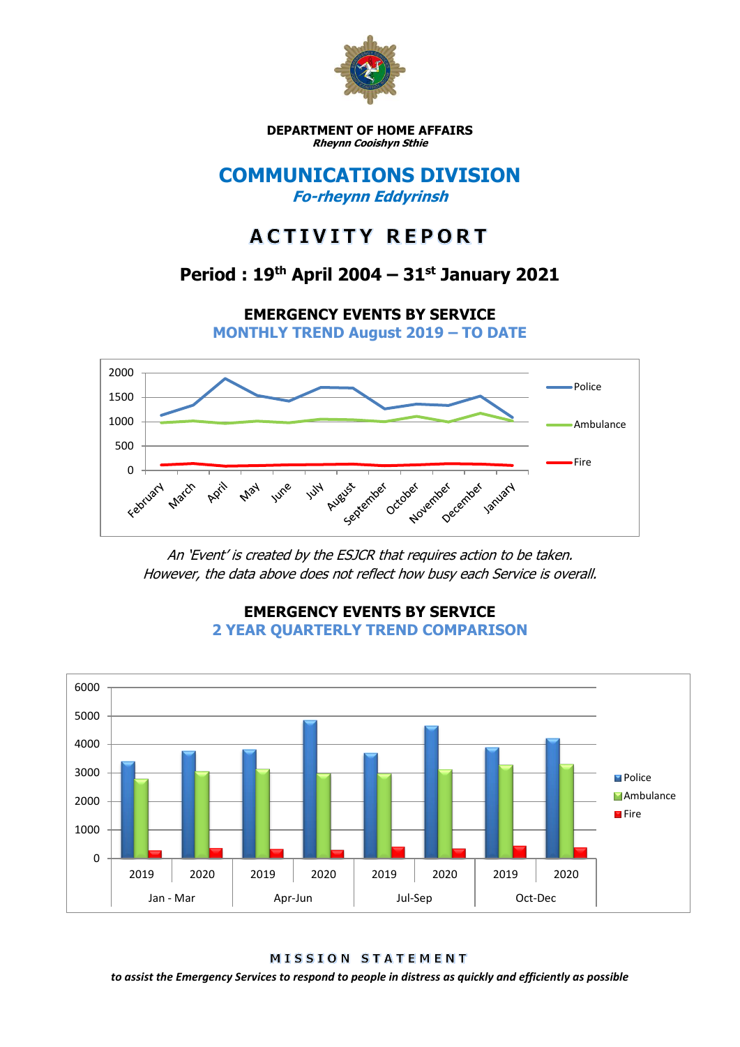

**DEPARTMENT OF HOME AFFAIRS Rheynn Cooishyn Sthie**

### **COMMUNICATIONS DIVISION Fo-rheynn Eddyrinsh**

# **ACTIVITY REPORT**

## **Period : 19th April 2004 – 31st January 2021**

**EMERGENCY EVENTS BY SERVICE**

**MONTHLY TREND August 2019 – TO DATE**



An 'Event' is created by the ESJCR that requires action to be taken. However, the data above does not reflect how busy each Service is overall.



**EMERGENCY EVENTS BY SERVICE 2 YEAR QUARTERLY TREND COMPARISON**

MISSION STATEMENT

*to assist the Emergency Services to respond to people in distress as quickly and efficiently as possible*